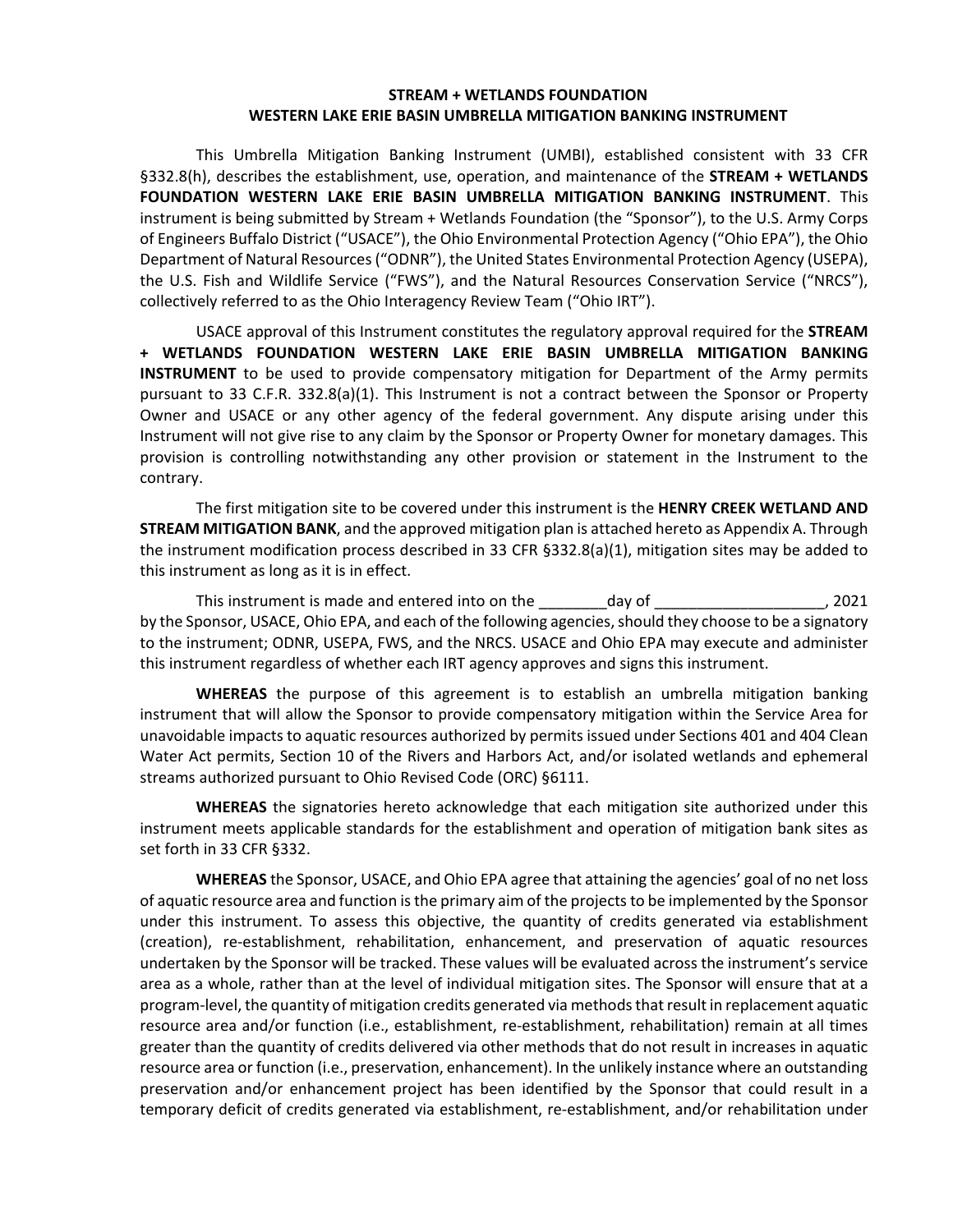#### **STREAM + WETLANDS FOUNDATION WESTERN LAKE ERIE BASIN UMBRELLA MITIGATION BANKING INSTRUMENT**

This Umbrella Mitigation Banking Instrument (UMBI), established consistent with 33 CFR §332.8(h), describes the establishment, use, operation, and maintenance of the **STREAM + WETLANDS FOUNDATION WESTERN LAKE ERIE BASIN UMBRELLA MITIGATION BANKING INSTRUMENT**. This instrument is being submitted by Stream + Wetlands Foundation (the "Sponsor"), to the U.S. Army Corps of Engineers Buffalo District ("USACE"), the Ohio Environmental Protection Agency ("Ohio EPA"), the Ohio Department of Natural Resources ("ODNR"), the United States Environmental Protection Agency (USEPA), the U.S. Fish and Wildlife Service ("FWS"), and the Natural Resources Conservation Service ("NRCS"), collectively referred to as the Ohio Interagency Review Team ("Ohio IRT").

USACE approval of this Instrument constitutes the regulatory approval required for the **STREAM + WETLANDS FOUNDATION WESTERN LAKE ERIE BASIN UMBRELLA MITIGATION BANKING INSTRUMENT** to be used to provide compensatory mitigation for Department of the Army permits pursuant to 33 C.F.R. 332.8(a)(1). This Instrument is not a contract between the Sponsor or Property Owner and USACE or any other agency of the federal government. Any dispute arising under this Instrument will not give rise to any claim by the Sponsor or Property Owner for monetary damages. This provision is controlling notwithstanding any other provision or statement in the Instrument to the contrary.

The first mitigation site to be covered under this instrument is the **HENRY CREEK WETLAND AND STREAM MITIGATION BANK**, and the approved mitigation plan is attached hereto as Appendix A. Through the instrument modification process described in 33 CFR §332.8(a)(1), mitigation sites may be added to this instrument as long as it is in effect.

This instrument is made and entered into on the day of day of the state of 2021 by the Sponsor, USACE, Ohio EPA, and each of the following agencies, should they choose to be a signatory to the instrument; ODNR, USEPA, FWS, and the NRCS. USACE and Ohio EPA may execute and administer this instrument regardless of whether each IRT agency approves and signs this instrument.

**WHEREAS** the purpose of this agreement is to establish an umbrella mitigation banking instrument that will allow the Sponsor to provide compensatory mitigation within the Service Area for unavoidable impacts to aquatic resources authorized by permits issued under Sections 401 and 404 Clean Water Act permits, Section 10 of the Rivers and Harbors Act, and/or isolated wetlands and ephemeral streams authorized pursuant to Ohio Revised Code (ORC) §6111.

**WHEREAS** the signatories hereto acknowledge that each mitigation site authorized under this instrument meets applicable standards for the establishment and operation of mitigation bank sites as set forth in 33 CFR §332.

**WHEREAS** the Sponsor, USACE, and Ohio EPA agree that attaining the agencies' goal of no net loss of aquatic resource area and function is the primary aim of the projects to be implemented by the Sponsor under this instrument. To assess this objective, the quantity of credits generated via establishment (creation), re-establishment, rehabilitation, enhancement, and preservation of aquatic resources undertaken by the Sponsor will be tracked. These values will be evaluated across the instrument's service area as a whole, rather than at the level of individual mitigation sites. The Sponsor will ensure that at a program-level, the quantity of mitigation credits generated via methods that result in replacement aquatic resource area and/or function (i.e., establishment, re-establishment, rehabilitation) remain at all times greater than the quantity of credits delivered via other methods that do not result in increases in aquatic resource area or function (i.e., preservation, enhancement). In the unlikely instance where an outstanding preservation and/or enhancement project has been identified by the Sponsor that could result in a temporary deficit of credits generated via establishment, re-establishment, and/or rehabilitation under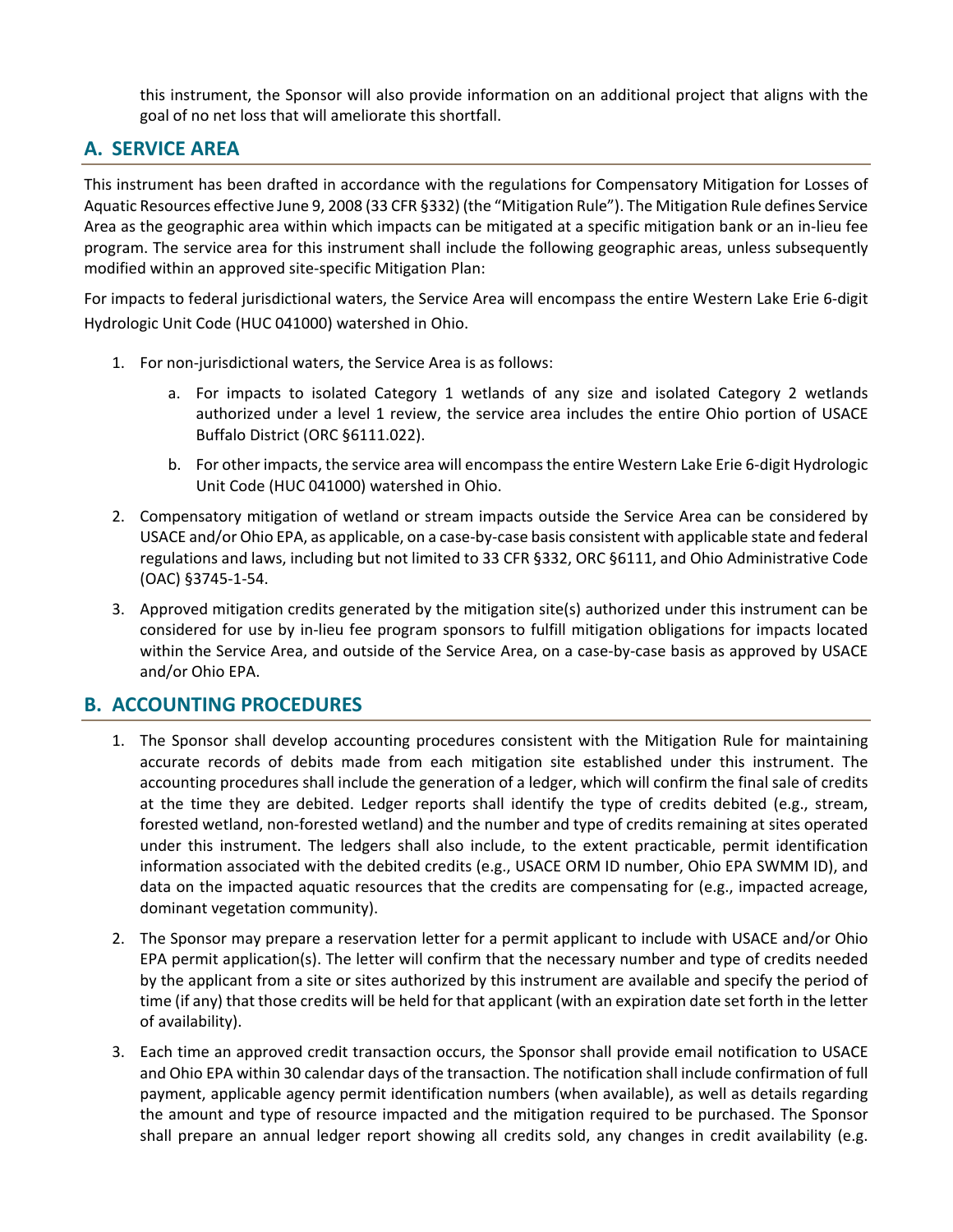this instrument, the Sponsor will also provide information on an additional project that aligns with the goal of no net loss that will ameliorate this shortfall.

# **A. SERVICE AREA**

This instrument has been drafted in accordance with the regulations for Compensatory Mitigation for Losses of Aquatic Resources effective June 9, 2008 (33 CFR §332) (the "Mitigation Rule"). The Mitigation Rule defines Service Area as the geographic area within which impacts can be mitigated at a specific mitigation bank or an in-lieu fee program. The service area for this instrument shall include the following geographic areas, unless subsequently modified within an approved site-specific Mitigation Plan:

For impacts to federal jurisdictional waters, the Service Area will encompass the entire Western Lake Erie 6-digit Hydrologic Unit Code (HUC 041000) watershed in Ohio.

- 1. For non-jurisdictional waters, the Service Area is as follows:
	- a. For impacts to isolated Category 1 wetlands of any size and isolated Category 2 wetlands authorized under a level 1 review, the service area includes the entire Ohio portion of USACE Buffalo District (ORC §6111.022).
	- b. For other impacts, the service area will encompass the entire Western Lake Erie 6-digit Hydrologic Unit Code (HUC 041000) watershed in Ohio.
- 2. Compensatory mitigation of wetland or stream impacts outside the Service Area can be considered by USACE and/or Ohio EPA, as applicable, on a case-by-case basis consistent with applicable state and federal regulations and laws, including but not limited to 33 CFR §332, ORC §6111, and Ohio Administrative Code (OAC) §3745-1-54.
- 3. Approved mitigation credits generated by the mitigation site(s) authorized under this instrument can be considered for use by in-lieu fee program sponsors to fulfill mitigation obligations for impacts located within the Service Area, and outside of the Service Area, on a case-by-case basis as approved by USACE and/or Ohio EPA.

# **B. ACCOUNTING PROCEDURES**

- 1. The Sponsor shall develop accounting procedures consistent with the Mitigation Rule for maintaining accurate records of debits made from each mitigation site established under this instrument. The accounting procedures shall include the generation of a ledger, which will confirm the final sale of credits at the time they are debited. Ledger reports shall identify the type of credits debited (e.g., stream, forested wetland, non-forested wetland) and the number and type of credits remaining at sites operated under this instrument. The ledgers shall also include, to the extent practicable, permit identification information associated with the debited credits (e.g., USACE ORM ID number, Ohio EPA SWMM ID), and data on the impacted aquatic resources that the credits are compensating for (e.g., impacted acreage, dominant vegetation community).
- 2. The Sponsor may prepare a reservation letter for a permit applicant to include with USACE and/or Ohio EPA permit application(s). The letter will confirm that the necessary number and type of credits needed by the applicant from a site or sites authorized by this instrument are available and specify the period of time (if any) that those credits will be held for that applicant (with an expiration date set forth in the letter of availability).
- 3. Each time an approved credit transaction occurs, the Sponsor shall provide email notification to USACE and Ohio EPA within 30 calendar days of the transaction. The notification shall include confirmation of full payment, applicable agency permit identification numbers (when available), as well as details regarding the amount and type of resource impacted and the mitigation required to be purchased. The Sponsor shall prepare an annual ledger report showing all credits sold, any changes in credit availability (e.g.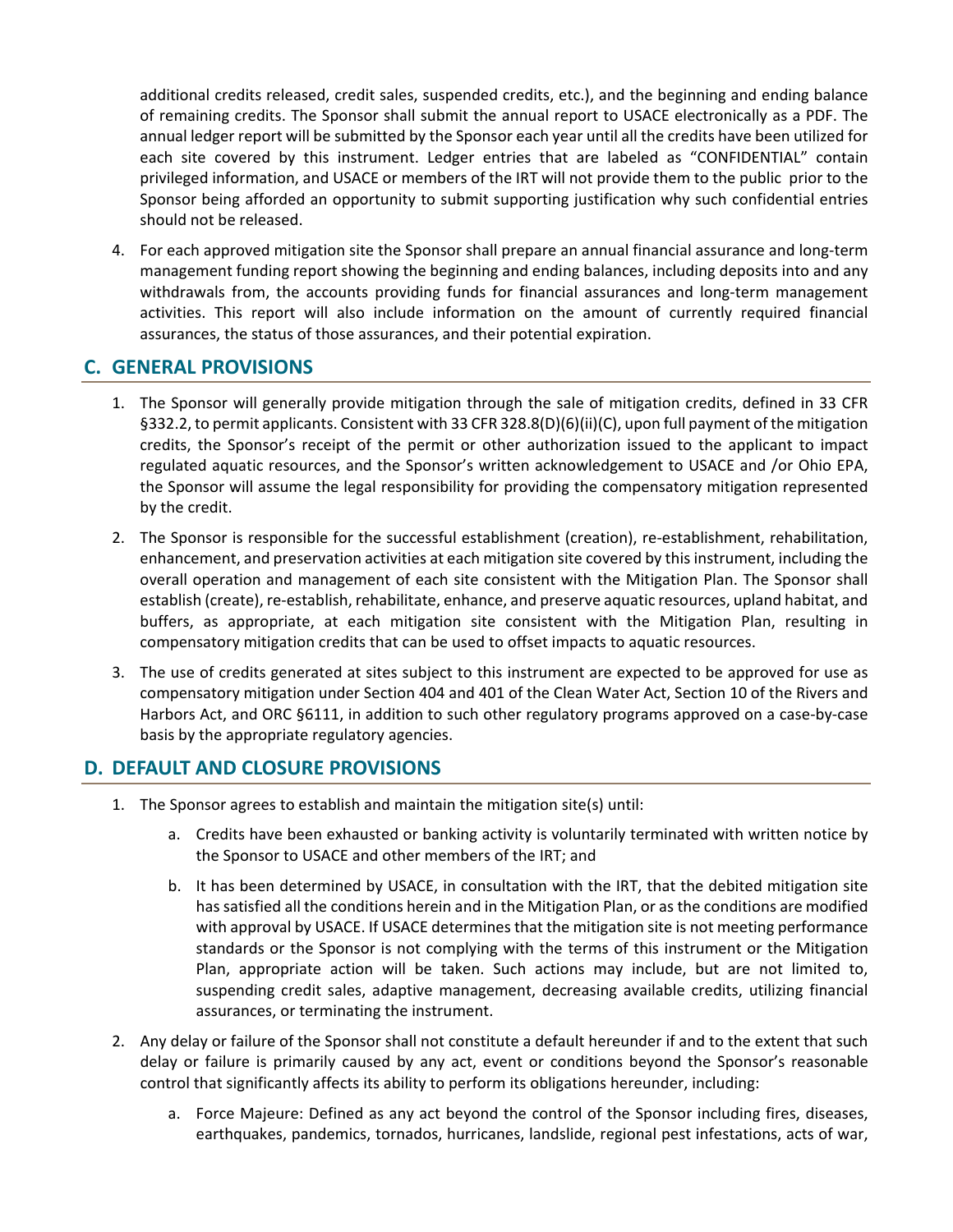additional credits released, credit sales, suspended credits, etc.), and the beginning and ending balance of remaining credits. The Sponsor shall submit the annual report to USACE electronically as a PDF. The annual ledger report will be submitted by the Sponsor each year until all the credits have been utilized for each site covered by this instrument. Ledger entries that are labeled as "CONFIDENTIAL" contain privileged information, and USACE or members of the IRT will not provide them to the public prior to the Sponsor being afforded an opportunity to submit supporting justification why such confidential entries should not be released.

4. For each approved mitigation site the Sponsor shall prepare an annual financial assurance and long-term management funding report showing the beginning and ending balances, including deposits into and any withdrawals from, the accounts providing funds for financial assurances and long-term management activities. This report will also include information on the amount of currently required financial assurances, the status of those assurances, and their potential expiration.

# **C. GENERAL PROVISIONS**

- 1. The Sponsor will generally provide mitigation through the sale of mitigation credits, defined in 33 CFR §332.2, to permit applicants. Consistent with 33 CFR 328.8(D)(6)(ii)(C), upon full payment of the mitigation credits, the Sponsor's receipt of the permit or other authorization issued to the applicant to impact regulated aquatic resources, and the Sponsor's written acknowledgement to USACE and /or Ohio EPA, the Sponsor will assume the legal responsibility for providing the compensatory mitigation represented by the credit.
- 2. The Sponsor is responsible for the successful establishment (creation), re-establishment, rehabilitation, enhancement, and preservation activities at each mitigation site covered by this instrument, including the overall operation and management of each site consistent with the Mitigation Plan. The Sponsor shall establish (create), re-establish, rehabilitate, enhance, and preserve aquatic resources, upland habitat, and buffers, as appropriate, at each mitigation site consistent with the Mitigation Plan, resulting in compensatory mitigation credits that can be used to offset impacts to aquatic resources.
- 3. The use of credits generated at sites subject to this instrument are expected to be approved for use as compensatory mitigation under Section 404 and 401 of the Clean Water Act, Section 10 of the Rivers and Harbors Act, and ORC §6111, in addition to such other regulatory programs approved on a case-by-case basis by the appropriate regulatory agencies.

## **D. DEFAULT AND CLOSURE PROVISIONS**

- 1. The Sponsor agrees to establish and maintain the mitigation site(s) until:
	- a. Credits have been exhausted or banking activity is voluntarily terminated with written notice by the Sponsor to USACE and other members of the IRT; and
	- b. It has been determined by USACE, in consultation with the IRT, that the debited mitigation site has satisfied all the conditions herein and in the Mitigation Plan, or as the conditions are modified with approval by USACE. If USACE determines that the mitigation site is not meeting performance standards or the Sponsor is not complying with the terms of this instrument or the Mitigation Plan, appropriate action will be taken. Such actions may include, but are not limited to, suspending credit sales, adaptive management, decreasing available credits, utilizing financial assurances, or terminating the instrument.
- 2. Any delay or failure of the Sponsor shall not constitute a default hereunder if and to the extent that such delay or failure is primarily caused by any act, event or conditions beyond the Sponsor's reasonable control that significantly affects its ability to perform its obligations hereunder, including:
	- a. Force Majeure: Defined as any act beyond the control of the Sponsor including fires, diseases, earthquakes, pandemics, tornados, hurricanes, landslide, regional pest infestations, acts of war,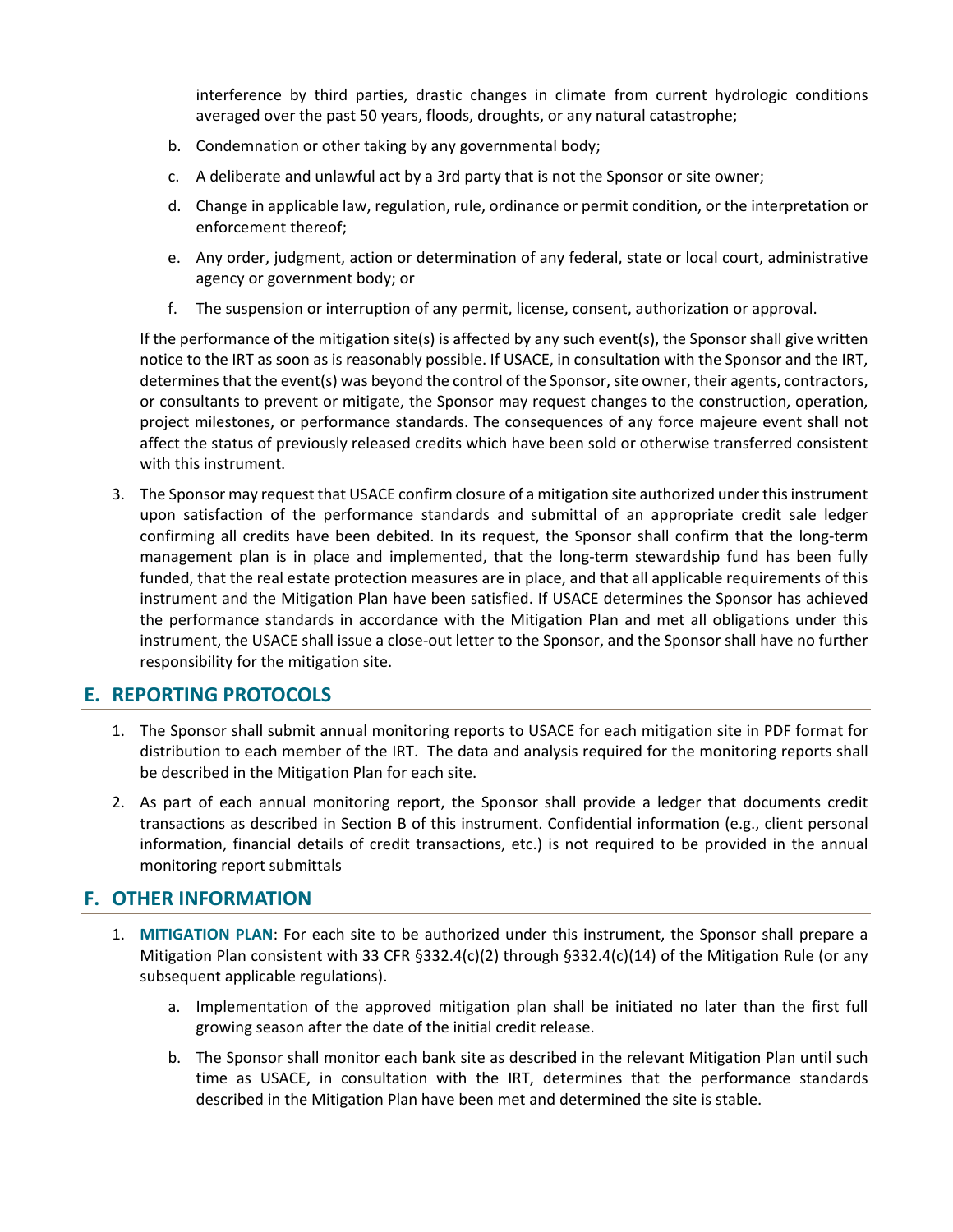interference by third parties, drastic changes in climate from current hydrologic conditions averaged over the past 50 years, floods, droughts, or any natural catastrophe;

- b. Condemnation or other taking by any governmental body;
- c. A deliberate and unlawful act by a 3rd party that is not the Sponsor or site owner;
- d. Change in applicable law, regulation, rule, ordinance or permit condition, or the interpretation or enforcement thereof;
- e. Any order, judgment, action or determination of any federal, state or local court, administrative agency or government body; or
- f. The suspension or interruption of any permit, license, consent, authorization or approval.

If the performance of the mitigation site(s) is affected by any such event(s), the Sponsor shall give written notice to the IRT as soon as is reasonably possible. If USACE, in consultation with the Sponsor and the IRT, determines that the event(s) was beyond the control of the Sponsor, site owner, their agents, contractors, or consultants to prevent or mitigate, the Sponsor may request changes to the construction, operation, project milestones, or performance standards. The consequences of any force majeure event shall not affect the status of previously released credits which have been sold or otherwise transferred consistent with this instrument.

3. The Sponsor may request that USACE confirm closure of a mitigation site authorized under this instrument upon satisfaction of the performance standards and submittal of an appropriate credit sale ledger confirming all credits have been debited. In its request, the Sponsor shall confirm that the long-term management plan is in place and implemented, that the long-term stewardship fund has been fully funded, that the real estate protection measures are in place, and that all applicable requirements of this instrument and the Mitigation Plan have been satisfied. If USACE determines the Sponsor has achieved the performance standards in accordance with the Mitigation Plan and met all obligations under this instrument, the USACE shall issue a close-out letter to the Sponsor, and the Sponsor shall have no further responsibility for the mitigation site.

## **E. REPORTING PROTOCOLS**

- 1. The Sponsor shall submit annual monitoring reports to USACE for each mitigation site in PDF format for distribution to each member of the IRT. The data and analysis required for the monitoring reports shall be described in the Mitigation Plan for each site.
- 2. As part of each annual monitoring report, the Sponsor shall provide a ledger that documents credit transactions as described in Section B of this instrument. Confidential information (e.g., client personal information, financial details of credit transactions, etc.) is not required to be provided in the annual monitoring report submittals

## **F. OTHER INFORMATION**

- 1. **MITIGATION PLAN**: For each site to be authorized under this instrument, the Sponsor shall prepare a Mitigation Plan consistent with 33 CFR §332.4(c)(2) through §332.4(c)(14) of the Mitigation Rule (or any subsequent applicable regulations).
	- a. Implementation of the approved mitigation plan shall be initiated no later than the first full growing season after the date of the initial credit release.
	- b. The Sponsor shall monitor each bank site as described in the relevant Mitigation Plan until such time as USACE, in consultation with the IRT, determines that the performance standards described in the Mitigation Plan have been met and determined the site is stable.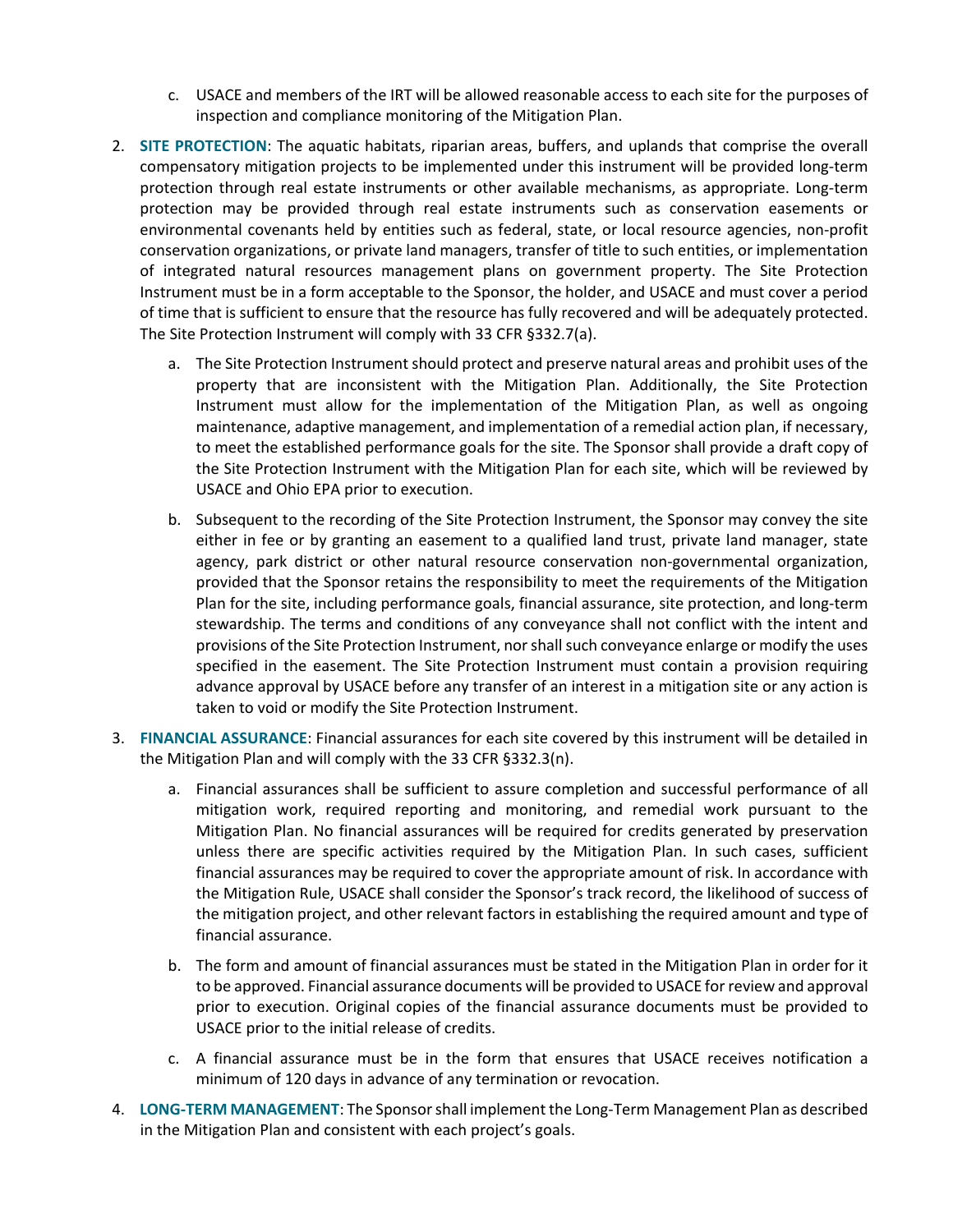- c. USACE and members of the IRT will be allowed reasonable access to each site for the purposes of inspection and compliance monitoring of the Mitigation Plan.
- 2. **SITE PROTECTION**: The aquatic habitats, riparian areas, buffers, and uplands that comprise the overall compensatory mitigation projects to be implemented under this instrument will be provided long-term protection through real estate instruments or other available mechanisms, as appropriate. Long-term protection may be provided through real estate instruments such as conservation easements or environmental covenants held by entities such as federal, state, or local resource agencies, non-profit conservation organizations, or private land managers, transfer of title to such entities, or implementation of integrated natural resources management plans on government property. The Site Protection Instrument must be in a form acceptable to the Sponsor, the holder, and USACE and must cover a period of time that is sufficient to ensure that the resource has fully recovered and will be adequately protected. The Site Protection Instrument will comply with 33 CFR §332.7(a).
	- a. The Site Protection Instrument should protect and preserve natural areas and prohibit uses of the property that are inconsistent with the Mitigation Plan. Additionally, the Site Protection Instrument must allow for the implementation of the Mitigation Plan, as well as ongoing maintenance, adaptive management, and implementation of a remedial action plan, if necessary, to meet the established performance goals for the site. The Sponsor shall provide a draft copy of the Site Protection Instrument with the Mitigation Plan for each site, which will be reviewed by USACE and Ohio EPA prior to execution.
	- b. Subsequent to the recording of the Site Protection Instrument, the Sponsor may convey the site either in fee or by granting an easement to a qualified land trust, private land manager, state agency, park district or other natural resource conservation non-governmental organization, provided that the Sponsor retains the responsibility to meet the requirements of the Mitigation Plan for the site, including performance goals, financial assurance, site protection, and long-term stewardship. The terms and conditions of any conveyance shall not conflict with the intent and provisions of the Site Protection Instrument, nor shall such conveyance enlarge or modify the uses specified in the easement. The Site Protection Instrument must contain a provision requiring advance approval by USACE before any transfer of an interest in a mitigation site or any action is taken to void or modify the Site Protection Instrument.
- 3. **FINANCIAL ASSURANCE**: Financial assurances for each site covered by this instrument will be detailed in the Mitigation Plan and will comply with the 33 CFR §332.3(n).
	- a. Financial assurances shall be sufficient to assure completion and successful performance of all mitigation work, required reporting and monitoring, and remedial work pursuant to the Mitigation Plan. No financial assurances will be required for credits generated by preservation unless there are specific activities required by the Mitigation Plan. In such cases, sufficient financial assurances may be required to cover the appropriate amount of risk. In accordance with the Mitigation Rule, USACE shall consider the Sponsor's track record, the likelihood of success of the mitigation project, and other relevant factors in establishing the required amount and type of financial assurance.
	- b. The form and amount of financial assurances must be stated in the Mitigation Plan in order for it to be approved. Financial assurance documents will be provided to USACE for review and approval prior to execution. Original copies of the financial assurance documents must be provided to USACE prior to the initial release of credits.
	- c. A financial assurance must be in the form that ensures that USACE receives notification a minimum of 120 days in advance of any termination or revocation.
- 4. **LONG-TERM MANAGEMENT**: The Sponsor shall implement the Long-Term Management Plan as described in the Mitigation Plan and consistent with each project's goals.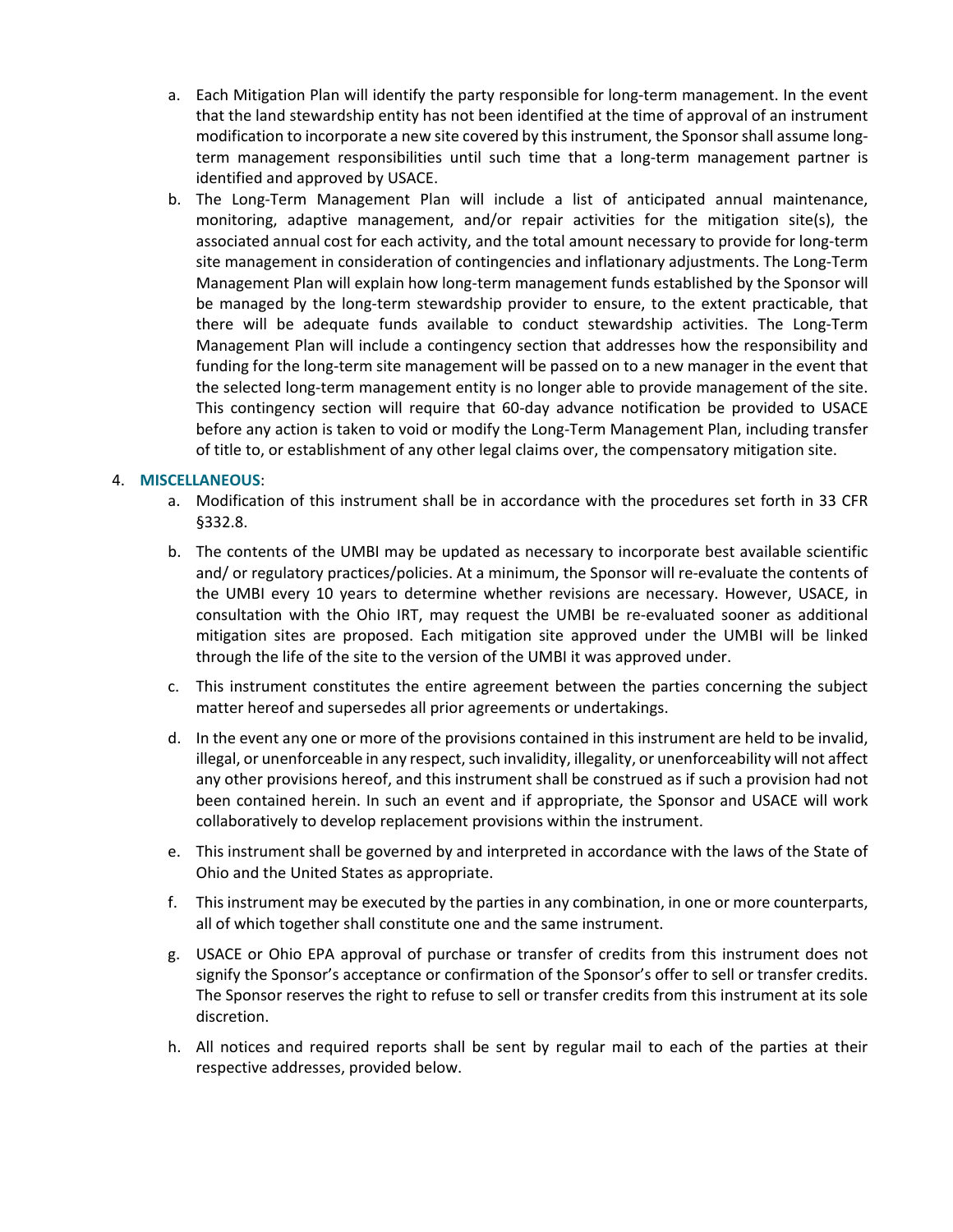- a. Each Mitigation Plan will identify the party responsible for long-term management. In the event that the land stewardship entity has not been identified at the time of approval of an instrument modification to incorporate a new site covered by this instrument, the Sponsor shall assume longterm management responsibilities until such time that a long-term management partner is identified and approved by USACE.
- b. The Long-Term Management Plan will include a list of anticipated annual maintenance, monitoring, adaptive management, and/or repair activities for the mitigation site(s), the associated annual cost for each activity, and the total amount necessary to provide for long-term site management in consideration of contingencies and inflationary adjustments. The Long-Term Management Plan will explain how long-term management funds established by the Sponsor will be managed by the long-term stewardship provider to ensure, to the extent practicable, that there will be adequate funds available to conduct stewardship activities. The Long-Term Management Plan will include a contingency section that addresses how the responsibility and funding for the long-term site management will be passed on to a new manager in the event that the selected long-term management entity is no longer able to provide management of the site. This contingency section will require that 60-day advance notification be provided to USACE before any action is taken to void or modify the Long-Term Management Plan, including transfer of title to, or establishment of any other legal claims over, the compensatory mitigation site.

#### 4. **MISCELLANEOUS**:

- a. Modification of this instrument shall be in accordance with the procedures set forth in 33 CFR §332.8.
- b. The contents of the UMBI may be updated as necessary to incorporate best available scientific and/ or regulatory practices/policies. At a minimum, the Sponsor will re-evaluate the contents of the UMBI every 10 years to determine whether revisions are necessary. However, USACE, in consultation with the Ohio IRT, may request the UMBI be re-evaluated sooner as additional mitigation sites are proposed. Each mitigation site approved under the UMBI will be linked through the life of the site to the version of the UMBI it was approved under.
- c. This instrument constitutes the entire agreement between the parties concerning the subject matter hereof and supersedes all prior agreements or undertakings.
- d. In the event any one or more of the provisions contained in this instrument are held to be invalid, illegal, or unenforceable in any respect, such invalidity, illegality, or unenforceability will not affect any other provisions hereof, and this instrument shall be construed as if such a provision had not been contained herein. In such an event and if appropriate, the Sponsor and USACE will work collaboratively to develop replacement provisions within the instrument.
- e. This instrument shall be governed by and interpreted in accordance with the laws of the State of Ohio and the United States as appropriate.
- f. This instrument may be executed by the parties in any combination, in one or more counterparts, all of which together shall constitute one and the same instrument.
- g. USACE or Ohio EPA approval of purchase or transfer of credits from this instrument does not signify the Sponsor's acceptance or confirmation of the Sponsor's offer to sell or transfer credits. The Sponsor reserves the right to refuse to sell or transfer credits from this instrument at its sole discretion.
- h. All notices and required reports shall be sent by regular mail to each of the parties at their respective addresses, provided below.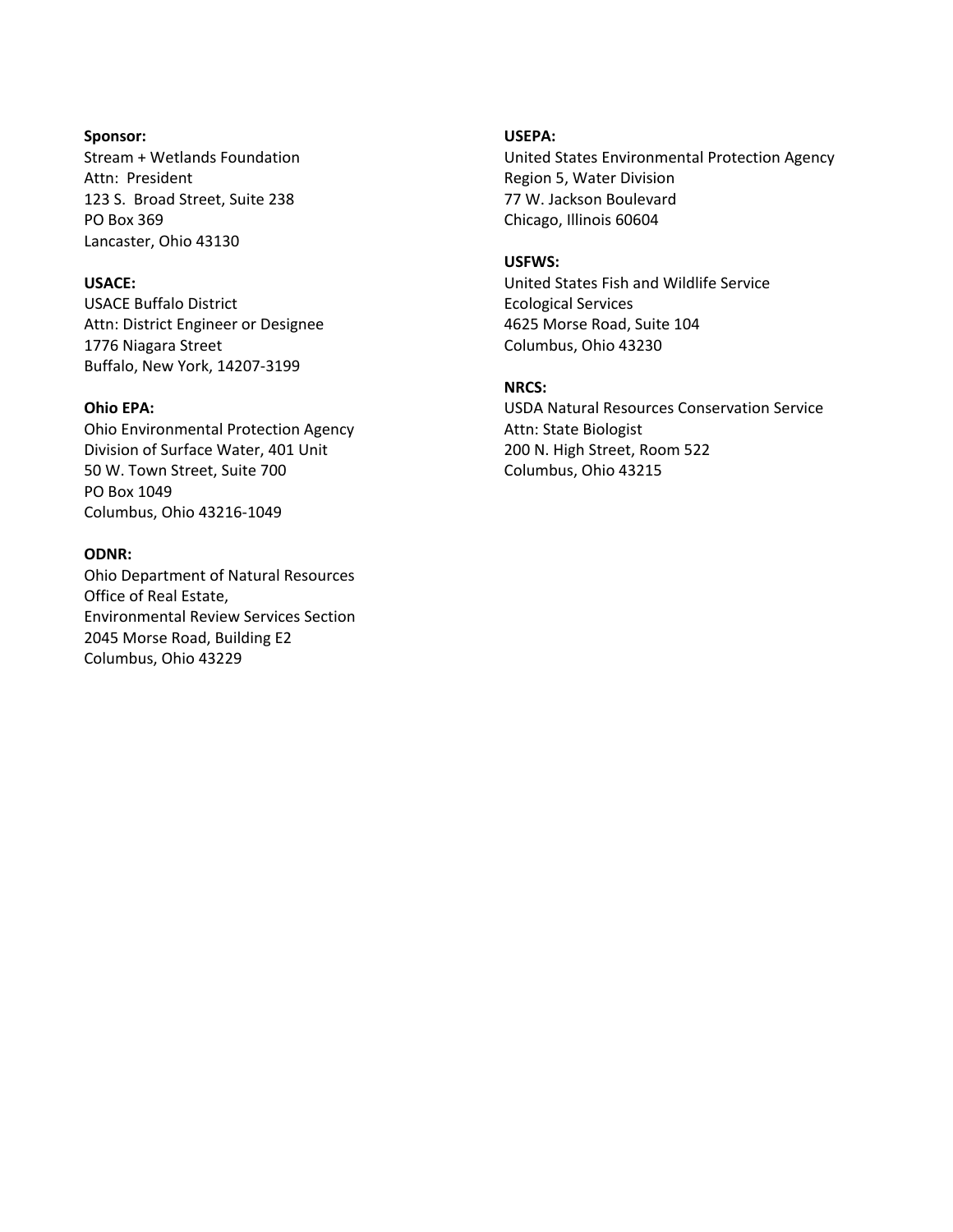#### **Sponsor:**

Stream + Wetlands Foundation Attn: President 123 S. Broad Street, Suite 238 PO Box 369 Lancaster, Ohio 43130

### **USACE:**

USACE Buffalo District Attn: District Engineer or Designee 1776 Niagara Street Buffalo, New York, 14207-3199

#### **Ohio EPA:**

Ohio Environmental Protection Agency Division of Surface Water, 401 Unit 50 W. Town Street, Suite 700 PO Box 1049 Columbus, Ohio 43216-1049

#### **ODNR:**

Ohio Department of Natural Resources Office of Real Estate, Environmental Review Services Section 2045 Morse Road, Building E2 Columbus, Ohio 43229

#### **USEPA:**

United States Environmental Protection Agency Region 5, Water Division 77 W. Jackson Boulevard Chicago, Illinois 60604

#### **USFWS:**

United States Fish and Wildlife Service Ecological Services 4625 Morse Road, Suite 104 Columbus, Ohio 43230

### **NRCS:**

USDA Natural Resources Conservation Service Attn: State Biologist 200 N. High Street, Room 522 Columbus, Ohio 43215